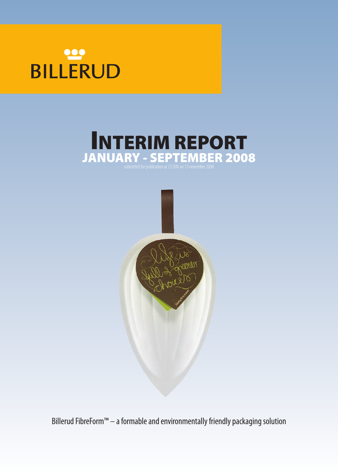# **BILLERUD**

# **INTERIM REPORT JANUARY - SEPTEMBER 2008** submittedforpublicationat12.00hon13november2008



Billerud FibreForm™ – a formable and environmentally friendly packaging solution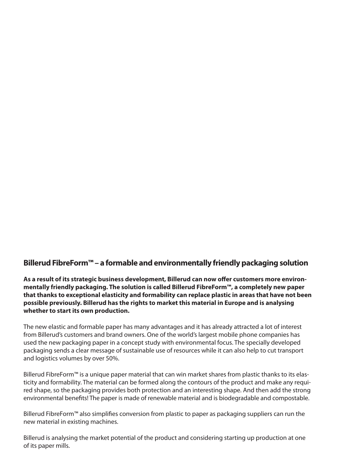# **BillerudFibreForm™– a formable andenvironmentally friendlypackaging solution**

**As a result of its strategic business development, Billerud can now offer customers more environmentally friendly packaging. The solution is called Billerud FibreForm™, a completely new paper that thanks to exceptional elasticity and formability can replace plastic in areas that have not been possible previously. Billerud has the rights to market this material in Europe and is analysing whether to start its own production.**

The new elastic and formable paper has many advantages and it has already attracted a lot of interest from Billerud's customers and brand owners. One of the world's largest mobile phone companies has used the new packaging paper in a concept study with environmental focus. The specially developed packaging sends a clear message of sustainable use of resources while it can also help to cut transport and logistics volumes by over 50%.

Billerud FibreForm™ is a unique paper material that can win market shares from plastic thanks to its elasticity and formability. The material can be formed along the contours of the product and make any required shape, so the packaging provides both protection and an interesting shape. And then add the strong environmental benefits! The paper is made of renewable material and is biodegradable and compostable.

Billerud FibreForm<sup>™</sup> also simplifies conversion from plastic to paper as packaging suppliers can run the new material in existing machines.

Billerud is analysing the market potential of the product and considering starting up production at one of its paper mills.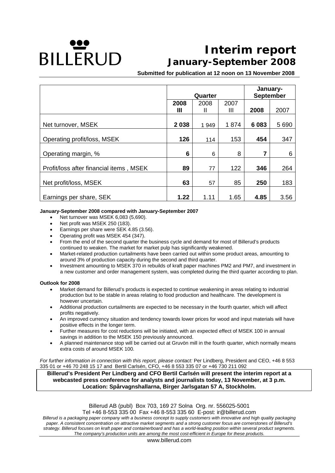# **DILLERUD**

# **Interim report January-September 2008**

**Submitted for publication at 12 noon on 13 November 2008**

|                                         |         | Quarter | January-<br><b>September</b> |         |         |
|-----------------------------------------|---------|---------|------------------------------|---------|---------|
|                                         | 2008    | 2008    | 2007                         |         |         |
|                                         | Ш       | Ш       | Ш                            | 2008    | 2007    |
| Net turnover, MSEK                      | 2 0 3 8 | 1 9 4 9 | 1874                         | 6 0 8 3 | 5 6 9 0 |
| Operating profit/loss, MSEK             | 126     | 114     | 153                          | 454     | 347     |
| Operating margin, %                     | 6       | 6       | 8                            | 7       | 6       |
| Profit/loss after financial items, MSEK | 89      | 77      | 122                          | 346     | 264     |
| Net profit/loss, MSEK                   | 63      | 57      | 85                           | 250     | 183     |
| Earnings per share, SEK                 | 1.22    | 1.11    | 1.65                         | 4.85    | 3.56    |

#### **January-September 2008 compared with January-September 2007**

- Net turnover was MSEK 6,083 (5,690).
- Net profit was MSEK 250 (183).
- Earnings per share were SEK 4.85 (3.56).
- Operating profit was MSEK 454 (347).
- From the end of the second quarter the business cycle and demand for most of Billerud's products continued to weaken. The market for market pulp has significantly weakened.
- Market-related production curtailments have been carried out within some product areas, amounting to around 3% of production capacity during the second and third quarter.
- Investment amounting to MSEK 370 in rebuilds of kraft paper machines PM2 and PM7, and investment in a new customer and order management system, was completed during the third quarter according to plan.

#### **Outlook for 2008**

- Market demand for Billerud's products is expected to continue weakening in areas relating to industrial production but to be stable in areas relating to food production and healthcare. The development is however uncertain.
- Additional production curtailments are expected to be necessary in the fourth quarter, which will affect profits negatively.
- An improved currency situation and tendency towards lower prices for wood and input materials will have positive effects in the longer term.
- Further measures for cost reductions will be initiated, with an expected effect of MSEK 100 in annual savings in addition to the MSEK 150 previously announced.
- A planned maintenance stop will be carried out at Gruvön mill in the fourth quarter, which normally means extra costs of around MSEK 100.

*For further information in connection with this report, please contact:* Per Lindberg, President and CEO, +46 8 553 335 01 or +46 70 248 15 17 and Bertil Carlsén, CFO, +46 8 553 335 07 or +46 730 211 092

**Billerud's President Per Lindberg and CFO Bertil Carlsén will present the interim report at a webcasted press conference for analysts and journalists today, 13 November, at 3 p.m. Location: Spårvagnshallarna, Birger Jarlsgatan 57 A, Stockholm.** 

> Billerud AB (publ) Box 703, 169 27 Solna Org. nr. 556025-5001 Tel +46 8-553 335 00 Fax +46 8-553 335 60 E-post: ir@billerud.com

*Billerud is a packaging paper company with a business concept to supply customers with innovative and high quality packaging paper. A consistent concentration on attractive market segments and a strong customer focus are cornerstones of Billerud's strategy. Billerud focuses on kraft paper and containerboard and has a world-leading position within several product segments. The company's production units are among the most cost-efficient in Europe for these products.*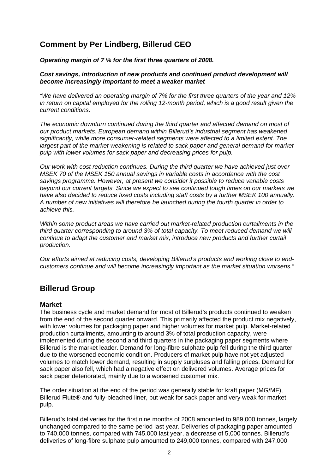# **Comment by Per Lindberg, Billerud CEO**

*Operating margin of 7 % for the first three quarters of 2008.* 

#### *Cost savings, introduction of new products and continued product development will become increasingly important to meet a weaker market*

*"We have delivered an operating margin of 7% for the first three quarters of the year and 12% in return on capital employed for the rolling 12-month period, which is a good result given the current conditions.* 

*The economic downturn continued during the third quarter and affected demand on most of our product markets. European demand within Billerud's industrial segment has weakened significantly, while more consumer-related segments were affected to a limited extent. The*  largest part of the market weakening is related to sack paper and general demand for market *pulp with lower volumes for sack paper and decreasing prices for pulp.* 

*Our work with cost reduction continues. During the third quarter we have achieved just over MSEK 70 of the MSEK 150 annual savings in variable costs in accordance with the cost savings programme. However, at present we consider it possible to reduce variable costs beyond our current targets. Since we expect to see continued tough times on our markets we have also decided to reduce fixed costs including staff costs by a further MSEK 100 annually. A number of new initiatives will therefore be launched during the fourth quarter in order to achieve this.* 

*Within some product areas we have carried out market-related production curtailments in the third quarter corresponding to around 3% of total capacity. To meet reduced demand we will continue to adapt the customer and market mix, introduce new products and further curtail production.* 

*Our efforts aimed at reducing costs, developing Billerud's products and working close to endcustomers continue and will become increasingly important as the market situation worsens."* 

# **Billerud Group**

#### **Market**

The business cycle and market demand for most of Billerud's products continued to weaken from the end of the second quarter onward. This primarily affected the product mix negatively, with lower volumes for packaging paper and higher volumes for market pulp. Market-related production curtailments, amounting to around 3% of total production capacity, were implemented during the second and third quarters in the packaging paper segments where Billerud is the market leader. Demand for long-fibre sulphate pulp fell during the third quarter due to the worsened economic condition. Producers of market pulp have not yet adjusted volumes to match lower demand, resulting in supply surpluses and falling prices. Demand for sack paper also fell, which had a negative effect on delivered volumes. Average prices for sack paper deteriorated, mainly due to a worsened customer mix.

The order situation at the end of the period was generally stable for kraft paper (MG/MF), Billerud Flute® and fully-bleached liner, but weak for sack paper and very weak for market pulp.

Billerud's total deliveries for the first nine months of 2008 amounted to 989,000 tonnes, largely unchanged compared to the same period last year. Deliveries of packaging paper amounted to 740,000 tonnes, compared with 745,000 last year, a decrease of 5,000 tonnes. Billerud's deliveries of long-fibre sulphate pulp amounted to 249,000 tonnes, compared with 247,000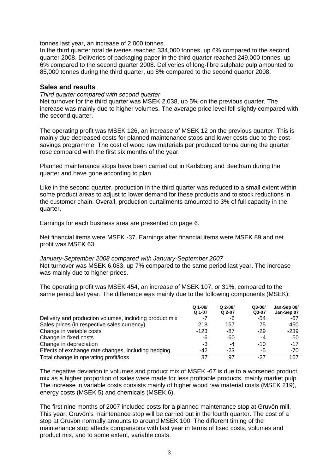tonnes last year, an increase of 2,000 tonnes.

In the third quarter total deliveries reached 334,000 tonnes, up 6% compared to the second quarter 2008. Deliveries of packaging paper in the third quarter reached 249,000 tonnes, up 6% compared to the second quarter 2008. Deliveries of long-fibre sulphate pulp amounted to 85,000 tonnes during the third quarter, up 8% compared to the second quarter 2008.

#### **Sales and results**

#### *Third quarter compared with second quarter*

Net turnover for the third quarter was MSEK 2,038, up 5% on the previous quarter. The increase was mainly due to higher volumes. The average price level fell slightly compared with the second quarter.

The operating profit was MSEK 126, an increase of MSEK 12 on the previous quarter. This is mainly due decreased costs for planned maintenance stops and lower costs due to the costsavings programme. The cost of wood raw materials per produced tonne during the quarter rose compared with the first six months of the year.

Planned maintenance stops have been carried out in Karlsborg and Beetham during the quarter and have gone according to plan.

Like in the second quarter, production in the third quarter was reduced to a small extent within some product areas to adjust to lower demand for these products and to stock reductions in the customer chain. Overall, production curtailments amounted to 3% of full capacity in the quarter.

Earnings for each business area are presented on page 6.

Net financial items were MSEK -37. Earnings after financial items were MSEK 89 and net profit was MSEK 63.

*January-September 2008 compared with January-September 2007*  Net turnover was MSEK 6,083, up 7% compared to the same period last year. The increase was mainly due to higher prices.

The operating profit was MSEK 454, an increase of MSEK 107, or 31%, compared to the same period last year. The difference was mainly due to the following components (MSEK):

|                                                        | Q 1-08/ | $Q$ 2-08/ | $Q3-08/$ | Jan-Sep 08/ |
|--------------------------------------------------------|---------|-----------|----------|-------------|
|                                                        | Q 1-07  | Q 2-07    | Q3-07    | Jan-Sep 07  |
| Delivery and production volumes, including product mix | -7      | -6        | -54      | -67         |
| Sales prices (in respective sales currency)            | 218     | 157       | 75       | 450         |
| Change in variable costs                               | $-123$  | -87       | $-29$    | $-239$      |
| Change in fixed costs                                  | -6      | 60        | -4       | 50          |
| Change in depreciation                                 | -3      | -4        | $-10$    | $-17$       |
| Effects of exchange rate changes, including hedging    | $-42$   | $-23$     | -5       | -70         |
| Total change in operating profit/loss                  | 37      | 97        | -27      | 107         |

The negative deviation in volumes and product mix of MSEK -67 is due to a worsened product mix as a higher proportion of sales were made for less profitable products, mainly market pulp. The increase in variable costs consists mainly of higher wood raw material costs (MSEK 219), energy costs (MSEK 5) and chemicals (MSEK 6).

The first nine months of 2007 included costs for a planned maintenance stop at Gruvön mill. This year, Gruvön's maintenance stop will be carried out in the fourth quarter. The cost of a stop at Gruvön normally amounts to around MSEK 100. The different timing of the maintenance stop affects comparisons with last year in terms of fixed costs, volumes and product mix, and to some extent, variable costs.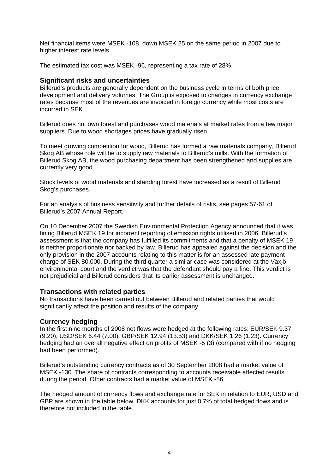Net financial items were MSEK -108, down MSEK 25 on the same period in 2007 due to higher interest rate levels.

The estimated tax cost was MSEK -96, representing a tax rate of 28%.

#### **Significant risks and uncertainties**

Billerud's products are generally dependent on the business cycle in terms of both price development and delivery volumes. The Group is exposed to changes in currency exchange rates because most of the revenues are invoiced in foreign currency while most costs are incurred in SEK.

Billerud does not own forest and purchases wood materials at market rates from a few major suppliers. Due to wood shortages prices have gradually risen.

To meet growing competition for wood, Billerud has formed a raw materials company, Billerud Skog AB whose role will be to supply raw materials to Billerud's mills. With the formation of Billerud Skog AB, the wood purchasing department has been strengthened and supplies are currently very good.

Stock levels of wood materials and standing forest have increased as a result of Billerud Skog's purchases.

For an analysis of business sensitivity and further details of risks, see pages 57-61 of Billerud's 2007 Annual Report.

On 10 December 2007 the Swedish Environmental Protection Agency announced that it was fining Billerud MSEK 19 for incorrect reporting of emission rights utilised in 2006. Billerud's assessment is that the company has fulfilled its commitments and that a penalty of MSEK 19 is neither proportionate nor backed by law. Billerud has appealed against the decision and the only provision in the 2007 accounts relating to this matter is for an assessed late payment charge of SEK 80,000. During the third quarter a similar case was considered at the Växjö environmental court and the verdict was that the defendant should pay a fine. This verdict is not prejudicial and Billerud considers that its earlier assessment is unchanged.

#### **Transactions with related parties**

No transactions have been carried out between Billerud and related parties that would significantly affect the position and results of the company.

#### **Currency hedging**

In the first nine months of 2008 net flows were hedged at the following rates: EUR/SEK 9.37 (9.20), USD/SEK 6.44 (7.00), GBP/SEK 12.94 (13.53) and DKK/SEK 1.26 (1.23). Currency hedging had an overall negative effect on profits of MSEK -5 (3) (compared with if no hedging had been performed).

Billerud's outstanding currency contracts as of 30 September 2008 had a market value of MSEK -130. The share of contracts corresponding to accounts receivable affected results during the period. Other contracts had a market value of MSEK -86.

The hedged amount of currency flows and exchange rate for SEK in relation to EUR, USD and GBP are shown in the table below. DKK accounts for just 0.7% of total hedged flows and is therefore not included in the table.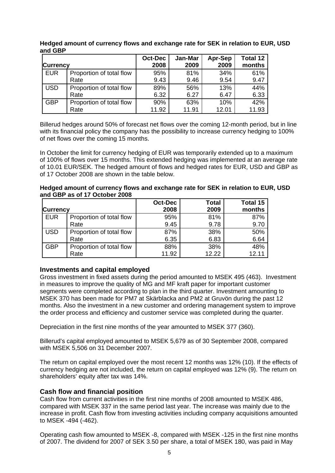| <b>Currency</b> |                          | <b>Oct-Dec</b><br>2008 | Jan-Mar<br>2009 | Apr-Sep<br>2009 | <b>Total 12</b><br>months |
|-----------------|--------------------------|------------------------|-----------------|-----------------|---------------------------|
| <b>EUR</b>      | Proportion of total flow | 95%                    | 81%             | 34%             | 61%                       |
|                 | Rate                     | 9.43                   | 9.46            | 9.54            | 9.47                      |
| <b>USD</b>      | Proportion of total flow | 89%                    | 56%             | 13%             | 44%                       |
|                 | Rate                     | 6.32                   | 6.27            | 6.47            | 6.33                      |
| <b>GBP</b>      | Proportion of total flow | 90%                    | 63%             | 10%             | 42%                       |
|                 | Rate                     | 11.92                  | 11.91           | 12.01           | 11.93                     |

**Hedged amount of currency flows and exchange rate for SEK in relation to EUR, USD and GBP**

Billerud hedges around 50% of forecast net flows over the coming 12-month period, but in line with its financial policy the company has the possibility to increase currency hedging to 100% of net flows over the coming 15 months.

In October the limit for currency hedging of EUR was temporarily extended up to a maximum of 100% of flows over 15 months. This extended hedging was implemented at an average rate of 10.01 EUR/SEK. The hedged amount of flows and hedged rates for EUR, USD and GBP as of 17 October 2008 are shown in the table below.

| Hedged amount of currency flows and exchange rate for SEK in relation to EUR, USD |
|-----------------------------------------------------------------------------------|
| and GBP as of 17 October 2008                                                     |

|                 |                          | <b>Oct-Dec</b> | <b>Total</b> | Total 15 |
|-----------------|--------------------------|----------------|--------------|----------|
| <b>Currency</b> |                          | 2008           | 2009         | months   |
| EUR             | Proportion of total flow | 95%            | 81%          | 87%      |
|                 | Rate                     | 9.45           | 9.78         | 9.70     |
| <b>USD</b>      | Proportion of total flow | 87%            | 38%          | 50%      |
|                 | Rate                     | 6.35           | 6.83         | 6.64     |
| <b>GBP</b>      | Proportion of total flow | 88%            | 38%          | 48%      |
|                 | Rate                     | 11.92          | 12.22        | 12.11    |

#### **Investments and capital employed**

Gross investment in fixed assets during the period amounted to MSEK 495 (463). Investment in measures to improve the quality of MG and MF kraft paper for important customer segments were completed according to plan in the third quarter. Investment amounting to MSEK 370 has been made for PM7 at Skärblacka and PM2 at Gruvön during the past 12 months. Also the investment in a new customer and ordering management system to improve the order process and efficiency and customer service was completed during the quarter.

Depreciation in the first nine months of the year amounted to MSEK 377 (360).

Billerud's capital employed amounted to MSEK 5,679 as of 30 September 2008, compared with MSEK 5,506 on 31 December 2007.

The return on capital employed over the most recent 12 months was 12% (10). If the effects of currency hedging are not included, the return on capital employed was 12% (9). The return on shareholders' equity after tax was 14%.

#### **Cash flow and financial position**

Cash flow from current activities in the first nine months of 2008 amounted to MSEK 486, compared with MSEK 337 in the same period last year. The increase was mainly due to the increase in profit. Cash flow from investing activities including company acquisitions amounted to MSEK -494 (-462).

Operating cash flow amounted to MSEK -8, compared with MSEK -125 in the first nine months of 2007. The dividend for 2007 of SEK 3.50 per share, a total of MSEK 180, was paid in May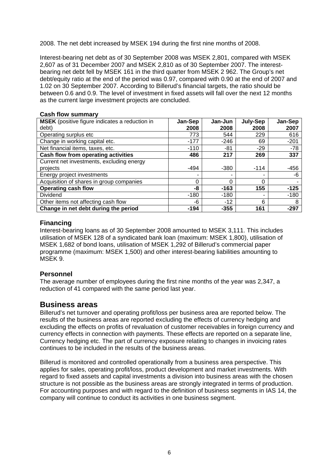2008. The net debt increased by MSEK 194 during the first nine months of 2008.

Interest-bearing net debt as of 30 September 2008 was MSEK 2,801, compared with MSEK 2,607 as of 31 December 2007 and MSEK 2,810 as of 30 September 2007. The interestbearing net debt fell by MSEK 161 in the third quarter from MSEK 2 962. The Group's net debt/equity ratio at the end of the period was 0.97, compared with 0.90 at the end of 2007 and 1.02 on 30 September 2007. According to Billerud's financial targets, the ratio should be between 0.6 and 0.9. The level of investment in fixed assets will fall over the next 12 months as the current large investment projects are concluded.

#### **Cash flow summary**

| MSEK (positive figure indicates a reduction in<br>debt) | Jan-Sep<br>2008 | Jan-Jun<br>2008 | July-Sep<br>2008 | Jan-Sep<br>2007 |
|---------------------------------------------------------|-----------------|-----------------|------------------|-----------------|
| Operating surplus etc                                   | 773             | 544             | 229              | 616             |
| Change in working capital etc.                          | $-177$          | $-246$          | 69               | $-201$          |
| Net financial items, taxes, etc.                        | $-110$          | -81             | $-29$            | $-78$           |
| Cash flow from operating activities                     | 486             | 217             | 269              | 337             |
| Current net investments, excluding energy               |                 |                 |                  |                 |
| projects                                                | $-494$          | $-380$          | $-114$           | $-456$          |
| Energy project investments                              |                 |                 |                  | -6              |
| Acquisition of shares in group companies                | 0               | 0               | 0                |                 |
| <b>Operating cash flow</b>                              | -8              | $-163$          | 155              | $-125$          |
| <b>Dividend</b>                                         | $-180$          | $-180$          | -                | $-180$          |
| Other items not affecting cash flow                     | -6              | $-12$           | 6                | 8               |
| Change in net debt during the period                    | $-194$          | $-355$          | 161              | $-297$          |

#### **Financing**

Interest-bearing loans as of 30 September 2008 amounted to MSEK 3,111. This includes utilisation of MSEK 128 of a syndicated bank loan (maximum: MSEK 1,800), utilisation of MSEK 1,682 of bond loans, utilisation of MSEK 1,292 of Billerud's commercial paper programme (maximum: MSEK 1,500) and other interest-bearing liabilities amounting to MSEK 9.

#### **Personnel**

The average number of employees during the first nine months of the year was 2,347, a reduction of 41 compared with the same period last year.

#### **Business areas**

Billerud's net turnover and operating profit/loss per business area are reported below. The results of the business areas are reported excluding the effects of currency hedging and excluding the effects on profits of revaluation of customer receivables in foreign currency and currency effects in connection with payments. These effects are reported on a separate line, Currency hedging etc. The part of currency exposure relating to changes in invoicing rates continues to be included in the results of the business areas.

Billerud is monitored and controlled operationally from a business area perspective. This applies for sales, operating profit/loss, product development and market investments. With regard to fixed assets and capital investments a division into business areas with the chosen structure is not possible as the business areas are strongly integrated in terms of production. For accounting purposes and with regard to the definition of business segments in IAS 14, the company will continue to conduct its activities in one business segment.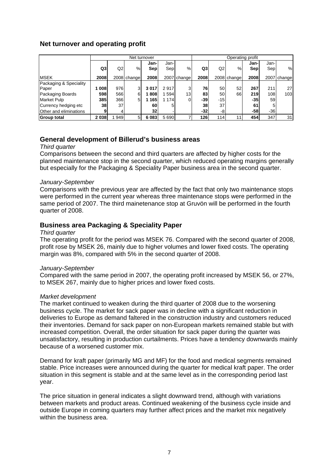#### **Net turnover and operating profit**

|                        | Net turnover |      |             |                 |             | Operating profit |      |                 |             |             |             |                 |
|------------------------|--------------|------|-------------|-----------------|-------------|------------------|------|-----------------|-------------|-------------|-------------|-----------------|
|                        | Q3           | Q2   | %           | Jan-<br>Sep     | Jan-<br>Sep | %                | Q3   | Q <sub>2</sub>  | %           | Jan-<br>Sep | Jan-<br>Sep | %               |
| <b>MSEK</b>            | 2008         |      | 2008 change | 2008            |             | 2007 change      | 2008 |                 | 2008 change | 2008        |             | 2007 change     |
| Packaging & Speciality |              |      |             |                 |             |                  |      |                 |             |             |             |                 |
| Paper                  | 008          | 976  | 3           | 3017            | 2917        | 3                | 76   | 50              | 52          | 267         | 211         | 27              |
| Packaging Boards       | 598          | 566  | 6           | 808             | 594         | 13 <sub>l</sub>  | 83   | 50              | 66          | 219         | 108         | 103             |
| Market Pulp            | 385          | 366  | 5           | 165             | 1 1 7 4     | 0                | -39  | $-15$           |             | $-35$       | 59          |                 |
| Currency hedging etc   | 38           | 37   |             | 60              | 5           |                  | 38   | 37 <sub>1</sub> |             | 61          |             |                 |
| Other and eliminations |              |      |             | 32 <sub>l</sub> |             |                  | -321 | -8              |             | -58         | $-36$       |                 |
| <b>Group total</b>     | 2038         | 1949 | 5           | 6 0 8 3         | 5 6 9 0     |                  | 126  | 114             | 11          | 454         | 347         | 31 <sub>1</sub> |

#### **General development of Billerud's business areas**

#### *Third quarter*

Comparisons between the second and third quarters are affected by higher costs for the planned maintenance stop in the second quarter, which reduced operating margins generally but especially for the Packaging & Speciality Paper business area in the second quarter.

#### *January-September*

Comparisons with the previous year are affected by the fact that only two maintenance stops were performed in the current year whereas three maintenance stops were performed in the same period of 2007. The third mainetenance stop at Gruvön will be performed in the fourth quarter of 2008.

#### **Business area Packaging & Speciality Paper**

#### *Third quarter*

The operating profit for the period was MSEK 76. Compared with the second quarter of 2008, profit rose by MSEK 26, mainly due to higher volumes and lower fixed costs. The operating margin was 8%, compared with 5% in the second quarter of 2008.

#### *January-September*

Compared with the same period in 2007, the operating profit increased by MSEK 56, or 27%, to MSEK 267, mainly due to higher prices and lower fixed costs.

#### *Market development*

The market continued to weaken during the third quarter of 2008 due to the worsening business cycle. The market for sack paper was in decline with a significant reduction in deliveries to Europe as demand faltered in the construction industry and customers reduced their inventories. Demand for sack paper on non-European markets remained stable but with increased competition. Overall, the order situation for sack paper during the quarter was unsatisfactory, resulting in production curtailments. Prices have a tendency downwards mainly because of a worsened customer mix.

Demand for kraft paper (primarily MG and MF) for the food and medical segments remained stable. Price increases were announced during the quarter for medical kraft paper. The order situation in this segment is stable and at the same level as in the corresponding period last year.

The price situation in general indicates a slight downward trend, although with variations between markets and product areas. Continued weakening of the business cycle inside and outside Europe in coming quarters may further affect prices and the market mix negatively within the business area.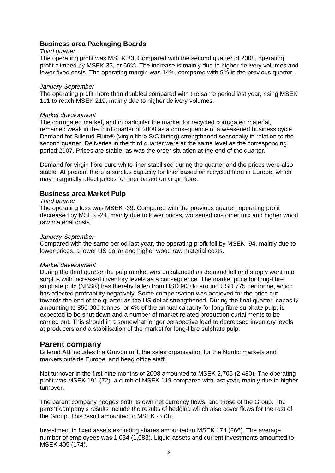#### **Business area Packaging Boards**

#### *Third quarter*

The operating profit was MSEK 83. Compared with the second quarter of 2008, operating profit climbed by MSEK 33, or 66%. The increase is mainly due to higher delivery volumes and lower fixed costs. The operating margin was 14%, compared with 9% in the previous quarter.

#### *January-September*

The operating profit more than doubled compared with the same period last year, rising MSEK 111 to reach MSEK 219, mainly due to higher delivery volumes.

#### *Market development*

The corrugated market, and in particular the market for recycled corrugated material, remained weak in the third quarter of 2008 as a consequence of a weakened business cycle. Demand for Billerud Flute® (virgin fibre S/C fluting) strengthened seasonally in relation to the second quarter. Deliveries in the third quarter were at the same level as the corresponding period 2007. Prices are stable, as was the order situation at the end of the quarter.

Demand for virgin fibre pure white liner stabilised during the quarter and the prices were also stable. At present there is surplus capacity for liner based on recycled fibre in Europe, which may marginally affect prices for liner based on virgin fibre.

#### **Business area Market Pulp**

#### *Third quarter*

The operating loss was MSEK -39. Compared with the previous quarter, operating profit decreased by MSEK -24, mainly due to lower prices, worsened customer mix and higher wood raw material costs.

#### *January-September*

Compared with the same period last year, the operating profit fell by MSEK -94, mainly due to lower prices, a lower US dollar and higher wood raw material costs.

#### *Market development*

During the third quarter the pulp market was unbalanced as demand fell and supply went into surplus with increased inventory levels as a consequence. The market price for long-fibre sulphate pulp (NBSK) has thereby fallen from USD 900 to around USD 775 per tonne, which has affected profitability negatively. Some compensation was achieved for the price cut towards the end of the quarter as the US dollar strengthened. During the final quarter, capacity amounting to 850 000 tonnes, or 4% of the annual capacity for long-fibre sulphate pulp, is expected to be shut down and a number of market-related production curtailments to be carried out. This should in a somewhat longer perspective lead to decreased inventory levels at producers and a stabilisation of the market for long-fibre sulphate pulp.

#### **Parent company**

Billerud AB includes the Gruvön mill, the sales organisation for the Nordic markets and markets outside Europe, and head office staff.

Net turnover in the first nine months of 2008 amounted to MSEK 2,705 (2,480). The operating profit was MSEK 191 (72), a climb of MSEK 119 compared with last year, mainly due to higher turnover.

The parent company hedges both its own net currency flows, and those of the Group. The parent company's results include the results of hedging which also cover flows for the rest of the Group. This result amounted to MSEK -5 (3).

Investment in fixed assets excluding shares amounted to MSEK 174 (266). The average number of employees was 1,034 (1,083). Liquid assets and current investments amounted to MSEK 405 (174).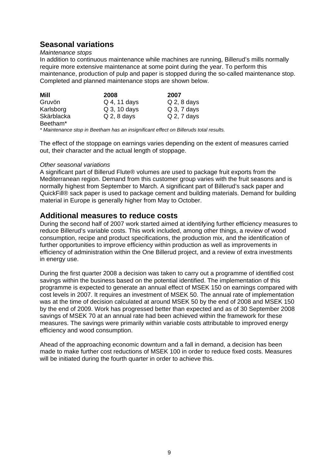# **Seasonal variations**

#### *Maintenance stops*

In addition to continuous maintenance while machines are running, Billerud's mills normally require more extensive maintenance at some point during the year. To perform this maintenance, production of pulp and paper is stopped during the so-called maintenance stop. Completed and planned maintenance stops are shown below.

| Mill                 | 2008          | 2007           |
|----------------------|---------------|----------------|
| Gruvön               | Q 4, 11 days  | $Q$ 2, 8 days  |
| Karlsborg            | Q 3, 10 days  | $Q_3$ , 7 days |
| Skärblacka           | $Q$ 2, 8 days | $Q$ 2, 7 days  |
| Beetham <sup>*</sup> |               |                |

*\* Maintenance stop in Beetham has an insignificant effect on Billeruds total results.* 

The effect of the stoppage on earnings varies depending on the extent of measures carried out, their character and the actual length of stoppage.

#### *Other seasonal variations*

A significant part of Billerud Flute® volumes are used to package fruit exports from the Mediterranean region. Demand from this customer group varies with the fruit seasons and is normally highest from September to March. A significant part of Billerud's sack paper and QuickFill® sack paper is used to package cement and building materials. Demand for building material in Europe is generally higher from May to October.

#### **Additional measures to reduce costs**

During the second half of 2007 work started aimed at identifying further efficiency measures to reduce Billerud's variable costs. This work included, among other things, a review of wood consumption, recipe and product specifications, the production mix, and the identification of further opportunities to improve efficiency within production as well as improvements in efficiency of administration within the One Billerud project, and a review of extra investments in energy use.

During the first quarter 2008 a decision was taken to carry out a programme of identified cost savings within the business based on the potential identified. The implementation of this programme is expected to generate an annual effect of MSEK 150 on earnings compared with cost levels in 2007. It requires an investment of MSEK 50. The annual rate of implementation was at the time of decision calculated at around MSEK 50 by the end of 2008 and MSEK 150 by the end of 2009. Work has progressed better than expected and as of 30 September 2008 savings of MSEK 70 at an annual rate had been achieved within the framework for these measures. The savings were primarily within variable costs attributable to improved energy efficiency and wood consumption.

Ahead of the approaching economic downturn and a fall in demand, a decision has been made to make further cost reductions of MSEK 100 in order to reduce fixed costs. Measures will be initiated during the fourth quarter in order to achieve this.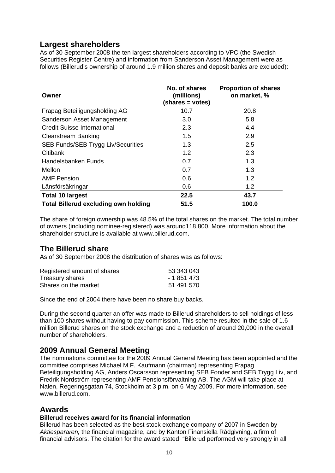# **Largest shareholders**

As of 30 September 2008 the ten largest shareholders according to VPC (the Swedish Securities Register Centre) and information from Sanderson Asset Management were as follows (Billerud's ownership of around 1.9 million shares and deposit banks are excluded):

| Owner                                       | No. of shares<br>(millions)<br>(shares = votes) | <b>Proportion of shares</b><br>on market, % |
|---------------------------------------------|-------------------------------------------------|---------------------------------------------|
| Frapag Beteiligungsholding AG               | 10.7                                            | 20.8                                        |
| Sanderson Asset Management                  | 3.0                                             | 5.8                                         |
| <b>Credit Suisse International</b>          | 2.3                                             | 4.4                                         |
| <b>Clearstream Banking</b>                  | 1.5                                             | 2.9                                         |
| SEB Funds/SEB Trygg Liv/Securities          | 1.3                                             | 2.5                                         |
| Citibank                                    | 1.2                                             | 2.3                                         |
| Handelsbanken Funds                         | 0.7                                             | 1.3                                         |
| Mellon                                      | 0.7                                             | 1.3                                         |
| <b>AMF Pension</b>                          | 0.6                                             | 1.2                                         |
| Länsförsäkringar                            | 0.6                                             | 1.2                                         |
| <b>Total 10 largest</b>                     | 22.5                                            | 43.7                                        |
| <b>Total Billerud excluding own holding</b> | 51.5                                            | 100.0                                       |

The share of foreign ownership was 48.5% of the total shares on the market. The total number of owners (including nominee-registered) was around118,800. More information about the shareholder structure is available at www.billerud.com.

# **The Billerud share**

As of 30 September 2008 the distribution of shares was as follows:

| Registered amount of shares | 53 343 043  |
|-----------------------------|-------------|
| <b>Treasury shares</b>      | - 1 851 473 |
| Shares on the market        | 51 491 570  |

Since the end of 2004 there have been no share buy backs.

During the second quarter an offer was made to Billerud shareholders to sell holdings of less than 100 shares without having to pay commission. This scheme resulted in the sale of 1.6 million Billerud shares on the stock exchange and a reduction of around 20,000 in the overall number of shareholders.

# **2009 Annual General Meeting**

The nominations committee for the 2009 Annual General Meeting has been appointed and the committee comprises Michael M.F. Kaufmann (chairman) representing Frapag Beteiligungsholding AG, Anders Oscarsson representing SEB Fonder and SEB Trygg Liv, and Fredrik Nordström representing AMF Pensionsförvaltning AB. The AGM will take place at Nalen, Regeringsgatan 74, Stockholm at 3 p.m. on 6 May 2009. For more information, see www.billerud.com.

# **Awards**

#### **Billerud receives award for its financial information**

Billerud has been selected as the best stock exchange company of 2007 in Sweden by *Aktiespararen,* the financial magazine, and by Kanton Finansiella Rådgivning, a firm of financial advisors. The citation for the award stated: "Billerud performed very strongly in all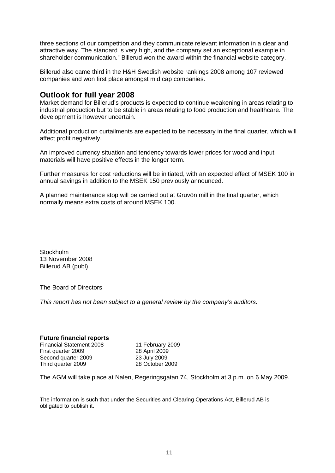three sections of our competition and they communicate relevant information in a clear and attractive way. The standard is very high, and the company set an exceptional example in shareholder communication." Billerud won the award within the financial website category.

Billerud also came third in the H&H Swedish website rankings 2008 among 107 reviewed companies and won first place amongst mid cap companies.

### **Outlook for full year 2008**

Market demand for Billerud's products is expected to continue weakening in areas relating to industrial production but to be stable in areas relating to food production and healthcare. The development is however uncertain.

Additional production curtailments are expected to be necessary in the final quarter, which will affect profit negatively.

An improved currency situation and tendency towards lower prices for wood and input materials will have positive effects in the longer term.

Further measures for cost reductions will be initiated, with an expected effect of MSEK 100 in annual savings in addition to the MSEK 150 previously announced.

A planned maintenance stop will be carried out at Gruvön mill in the final quarter, which normally means extra costs of around MSEK 100.

**Stockholm** 13 November 2008 Billerud AB (publ)

The Board of Directors

*This report has not been subject to a general review by the company's auditors.* 

#### **Future financial reports**

Financial Statement 2008 11 February 2009 First quarter 2009 28 April 2009 Second quarter 2009 23 July 2009 Third quarter 2009 28 October 2009

The AGM will take place at Nalen, Regeringsgatan 74, Stockholm at 3 p.m. on 6 May 2009.

The information is such that under the Securities and Clearing Operations Act, Billerud AB is obligated to publish it.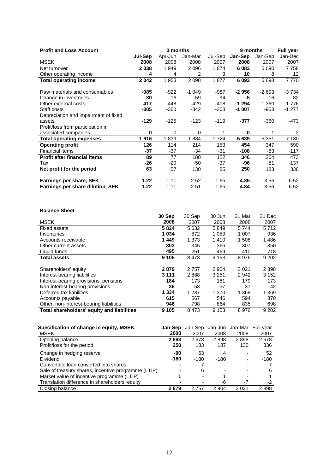| <b>Profit and Loss Account</b>       |          | 3 months |         | 9 months | <b>Full year</b> |          |         |
|--------------------------------------|----------|----------|---------|----------|------------------|----------|---------|
|                                      | Jul-Sep  | Apr-Jun  | Jan-Mar | Jul-Sep  | Jan-Sep          | Jan-Sep  | Jan-Dec |
| <b>MSEK</b>                          | 2008     | 2008     | 2008    | 2007     | 2008             | 2007     | 2007    |
| Net turnover                         | 2038     | 1949     | 2096    | 1874     | 6083             | 5 6 9 0  | 7758    |
| Other operating income               | 4        | 4        | 2       | 3        | 10               | 8        | 12      |
| <b>Total operating income</b>        | 2042     | 1953     | 2098    | 1877     | 6 0 9 3          | 5698     | 7770    |
| Raw materials and consumables        | -985     | -922     | $-1049$ | -987     | $-2956$          | $-2693$  | $-3734$ |
| Change in inventories                | -80      | 16       | 59      | 94       | -5               | 16       | 82      |
| Other external costs                 | -417     | $-448$   | $-429$  | $-408$   | $-1294$          | $-1.360$ | $-1776$ |
| Staff costs                          | $-305$   | $-360$   | $-342$  | $-303$   | $-1007$          | $-953$   | $-1277$ |
| Depreciation and impairment of fixed |          |          |         |          |                  |          |         |
| assets                               | $-129$   | $-125$   | $-123$  | $-119$   | -377             | $-360$   | -473    |
| Profit/loss from participation in    |          |          |         |          |                  |          |         |
| associated companies                 | $\bf{0}$ | $\Omega$ | 0       | $-1$     | $\bf{0}$         | -1       | $-2$    |
| <b>Total operating expenses</b>      | $-1916$  | $-1839$  | $-1884$ | $-1724$  | $-5639$          | $-5351$  | $-7180$ |
| <b>Operating profit</b>              | 126      | 114      | 214     | 153      | 454              | 347      | 590     |
| <b>Financial items</b>               | $-37$    | $-37$    | $-34$   | $-31$    | $-108$           | -83      | $-117$  |
| <b>Profit after financial items</b>  | 89       | 77       | 180     | 122      | 346              | 264      | 473     |
| Tax                                  | -26      | -20      | -50     | -37      | -96              | -81      | -137    |
| Net profit for the period            | 63       | 57       | 130     | 85       | 250              | 183      | 336     |
| Earnings per share, SEK              | 1.22     | 1.11     | 2.52    | 1.65     | 4.85             | 3.56     | 6.52    |
| Earnings per share dilution, SEK     | 1.22     | 1.11     | 2.51    | 1.65     | 4.84             | 3.56     | 6.52    |

#### **Balance Sheet**

|                                            | 30 Sep  | 30 Sep  | 30 Jun  | 31 Mar  | 31 Dec  |
|--------------------------------------------|---------|---------|---------|---------|---------|
| <b>MSEK</b>                                | 2008    | 2007    | 2008    | 2008    | 2007    |
| <b>Fixed assets</b>                        | 5824    | 5 6 3 2 | 5849    | 5744    | 5712    |
| Inventories                                | 1 0 3 4 | 872     | 1 0 5 9 | 1 007   | 936     |
| Accounts receivable                        | 1449    | 1 3 7 3 | 1410    | 1 508   | 1486    |
| Other current assets                       | 303     | 345     | 366     | 307     | 350     |
| Liquid funds                               | 495     | 251     | 469     | 410     | 718     |
| <b>Total assets</b>                        | 9 1 0 5 | 8473    | 9 1 5 3 | 8976    | 9 2 0 2 |
|                                            |         |         |         |         |         |
| Shareholders' equity                       | 2879    | 2757    | 2 9 0 4 | 3 0 2 1 | 2898    |
| Interest-bearing liabilities               | 3 1 1 1 | 2888    | 3 2 5 1 | 2942    | 3 1 5 2 |
| Interest-bearing provisions, pensions      | 184     | 173     | 181     | 179     | 173     |
| Non-interest-bearing provisions            | 36      | 53      | 37      | 37      | 42      |
| Deferred tax liabilities                   | 1 3 3 4 | 1 2 3 7 | 1 370   | 1 3 6 8 | 1 3 6 9 |
| Accounts payable                           | 615     | 567     | 546     | 594     | 870     |
| Other, non-interest-bearing liabilities    | 946     | 798     | 864     | 835     | 698     |
| Total shareholders' equity and liabilities | 9 1 0 5 | 8473    | 9 1 5 3 | 8976    | 9 2 0 2 |

| Specification of change in equity, MSEK             | Jan-Sep | Jan-Sep                  |                          | Jan-Jun Jan-Mar Full year |      |
|-----------------------------------------------------|---------|--------------------------|--------------------------|---------------------------|------|
| <b>MSEK</b>                                         | 2008    | 2007                     | 2008                     | 2008                      | 2007 |
| Opening balance                                     | 2898    | 2678                     | 2898                     | 2898                      | 2678 |
| Profit/loss for the period                          | 250     | 183                      | 187                      | 130                       | 336  |
| Change in hedging reserve                           | -90     | 63                       | 4                        | $\overline{\phantom{0}}$  | 52   |
| <b>Dividend</b>                                     | $-180$  | $-180$                   | -180                     | -                         | -180 |
| Convertible loan converted into shares              |         |                          | -                        | -                         |      |
| Sale of treasury shares, incentive programme (LTIP) |         | 6                        | $\overline{\phantom{0}}$ |                           | 6    |
| Market value of incentive programme (LTIP)          |         | $\overline{\phantom{0}}$ |                          | -                         | 1    |
| Translation difference in shareholders' equity      |         |                          | -6                       | -7                        | -2   |
| Closing balance                                     | 2879    | 2 7 5 7                  | 2 9 0 4                  | 3021                      | 2898 |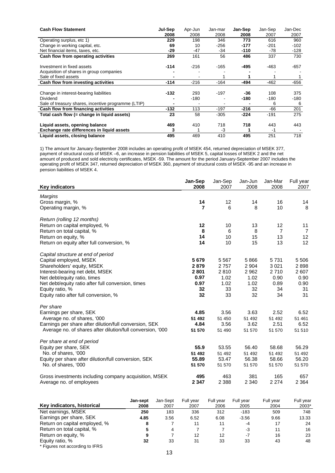| <b>Cash Flow Statement</b>                          | Jul-Sep        | Apr-Jun | Jan-mar | Jan-Sep | Jan-Sep | Jan-Dec |
|-----------------------------------------------------|----------------|---------|---------|---------|---------|---------|
|                                                     | 2008           | 2008    | 2008    | 2008    | 2007    | 2007    |
| Operating surplus, etc 1)                           | 229            | 198     | 346     | 773     | 616     | 960     |
| Change in working capital, etc.                     | 69             | 10      | $-256$  | -177    | -201    | $-102$  |
| Net financial items, taxes, etc.                    | -29            | -47     | $-34$   | -110    | -78     | -128    |
| Cash flow from operating activities                 | 269            | 161     | 56      | 486     | 337     | 730     |
| Investment in fixed assets                          | $-114$         | $-216$  | $-165$  | -495    | $-463$  | $-657$  |
| Acquisition of shares in group companies            |                |         |         |         |         |         |
| Sale of fixed assets                                |                |         |         |         |         |         |
| Cash flow from investing activities                 | $-114$         | $-216$  | $-164$  | -494    | $-462$  | $-656$  |
|                                                     |                |         |         |         |         |         |
| Change in interest-bearing liabilities              | $-132$         | 293     | -197    | -36     | 108     | 375     |
| Dividend                                            |                | $-180$  |         | -180    | -180    | -180    |
| Sale of treasury shares, incentive programme (LTIP) | $\blacksquare$ |         |         |         | 6       | 6       |
| Cash flow from financing activities                 | $-132$         | 113     | $-197$  | $-216$  | $-66$   | 201     |
| Total cash flow (= change in liguid assets)         | 23             | 58      | $-305$  | -224    | $-191$  | 275     |
| Liquid assets, opening balance                      | 469            | 410     | 718     | 718     | 443     | 443     |
| Exchange rate differences in liquid assets          | 3              |         | -3      |         | -1      |         |
| Liquid assets, closing balance                      | 495            | 469     | 410     | 495     | 251     | 718     |

1) The amount for January-September 2008 includes an operating profit of MSEK 454, returned depreciation of MSEK 377, payment of structural costs of MSEK –6, an increase in pension liabilities of MSEK 5, capital losses of MSEK 2 and the net amount of produced and sold electricity certificates, MSEK -59. The amount for the period January-September 2007 includes the operating profit of MSEK 347, returned depreciation of MSEK 360, payment of structural costs of MSEK -95 and an increase in pension liabilities of MSEK 4.

|                                                            | Jan-Sep        | Jan-Sep | Jan-Jun | Jan-Mar        | Full year       |
|------------------------------------------------------------|----------------|---------|---------|----------------|-----------------|
| <b>Key indicators</b>                                      | 2008           | 2007    | 2008    | 2008           | 2007            |
| Margins                                                    |                |         |         |                |                 |
| Gross margin, %                                            | 14             | 12      | 14      | 16             | 14              |
| Operating margin, %                                        | $\overline{7}$ | 6       | 8       | 10             | 8               |
| Return (rolling 12 months)                                 |                |         |         |                |                 |
| Return on capital employed, %                              | 12             | 10      | 13      | 12             | 11              |
| Return on total capital, %                                 | 8              | 6       | 8       | $\overline{7}$ | 7               |
| Return on equity, %                                        | 14             | 10      | 15      | 13             | 12 <sub>2</sub> |
| Return on equity after full conversion, %                  | 14             | 10      | 15      | 13             | 12 <sup>2</sup> |
| Capital structure at end of period                         |                |         |         |                |                 |
| Capital employed, MSEK                                     | 5679           | 5 5 6 7 | 5866    | 5731           | 5 5 0 6         |
| Shareholders' equity, MSEK                                 | 2879           | 2757    | 2 9 0 4 | 3 0 21         | 2898            |
| Interest-bearing net debt, MSEK                            | 2801           | 2810    | 2 9 6 2 | 2710           | 2 607           |
| Net debt/equity ratio, times                               | 0.97           | 1.02    | 1.02    | 0.90           | 0.90            |
| Net debt/equity ratio after full conversion, times         | 0.97           | 1.02    | 1.02    | 0.89           | 0.90            |
| Equity ratio, %                                            | 32             | 33      | 32      | 34             | 31              |
| Equity ratio after full conversion, %                      | 32             | 33      | 32      | 34             | 31              |
| Per share                                                  |                |         |         |                |                 |
| Earnings per share, SEK                                    | 4.85           | 3.56    | 3.63    | 2.52           | 6.52            |
| Average no. of shares, '000                                | 51 492         | 51 450  | 51 492  | 51 492         | 51 461          |
| Earnings per share after dilution/full conversion, SEK     | 4.84           | 3.56    | 3.62    | 2.51           | 6.52            |
| Average no. of shares after dilution/full conversion, '000 | 51 570         | 51 490  | 51 570  | 51 570         | 51 510          |
| Per share at end of period                                 |                |         |         |                |                 |
| Equity per share, SEK                                      | 55.9           | 53.55   | 56.40   | 58.68          | 56.29           |
| No. of shares, '000                                        | 51 492         | 51 492  | 51 492  | 51 492         | 51 492          |
| Equity per share after dilution/full conversion, SEK       | 55.89          | 53.47   | 56.38   | 58.66          | 56.20           |
| No. of shares, '000                                        | 51 570         | 51 570  | 51 570  | 51 570         | 51 570          |
| Gross investments including company acquisition, MSEK      | 495            | 463     | 381     | 165            | 657             |
| Average no. of employees                                   | 2 3 4 7        | 2 3 8 8 | 2 3 4 0 | 2 2 7 4        | 2 3 6 4         |

|                                 | Jan-sept | Jan-Sept | Full year | Full vear | Full year | Full year | Full year |
|---------------------------------|----------|----------|-----------|-----------|-----------|-----------|-----------|
| Key indicators, historical      | 2008     | 2007     | 2007      | 2006      | 2005      | 2004      | 2003*     |
| Net earnings, MSEK              | 250      | 183      | 336       | 312       | $-183$    | 509       | 748       |
| Earnings per share, SEK         | 4.85     | 3.56     | 6.52      | 6.08      | $-3.56$   | 9.66      | 13.33     |
| Return on capital employed, %   | 8        |          | 11        | 11        | $-4$      | 17        | 24        |
| Return on total capital, %      | 5        | 4        |           |           | -3        | 11        | 16        |
| Return on equity, %             | 9        |          | 12        | 12        | $-7$      | 16        | 23        |
| Equity ratio, %                 | 32       | 33       | 31        | 33        | 33        | 43        | 48        |
| * Figures not according to IFRS |          |          |           |           |           |           |           |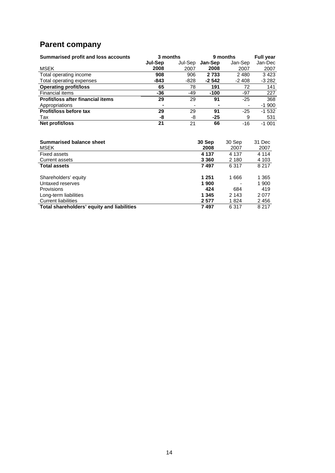# **Parent company**

| Summarised profit and loss accounts | 3 months |                          |                | 9 months | <b>Full year</b> |  |
|-------------------------------------|----------|--------------------------|----------------|----------|------------------|--|
|                                     | Jul-Sep  | Jul-Sep                  | Jan-Sep        | Jan-Sep  | Jan-Dec          |  |
| <b>MSEK</b>                         | 2008     | 2007                     | 2008           | 2007     | 2007             |  |
| Total operating income              | 908      | 906                      | 2 7 3 3        | 2 4 8 0  | 3423             |  |
| Total operating expenses            | -843     | -828                     | $-2542$        | $-2408$  | $-3282$          |  |
| <b>Operating profit/loss</b>        | 65       | 78                       | 191            | 72       | 141              |  |
| Financial items                     | -36      | $-49$                    | $-100$         | -97      | 227              |  |
| Profit/loss after financial items   | 29       | 29                       | 91             | $-25$    | 368              |  |
| Appropriations                      |          | $\overline{\phantom{0}}$ | $\blacksquare$ | ۰        | $-1900$          |  |
| Profit/loss before tax              | 29       | 29                       | 91             | $-25$    | $-1532$          |  |
| Tax                                 | -8       | -8                       | $-25$          | 9        | 531              |  |
| Net profit/loss                     | 21       | 21                       | 66             | -16      | $-1001$          |  |

| <b>Summarised balance sheet</b>            | 30 Sep  | 30 Sep                   | 31 Dec  |
|--------------------------------------------|---------|--------------------------|---------|
| MSEK                                       | 2008    | 2007                     | 2007    |
| <b>Fixed assets</b>                        | 4 1 3 7 | 4 1 3 7                  | 4 1 1 4 |
| Current assets                             | 3 3 6 0 | 2 1 8 0                  | 4 103   |
| <b>Total assets</b>                        | 7497    | 6 3 1 7                  | 8 2 1 7 |
|                                            |         |                          |         |
| Shareholders' equity                       | 1 251   | 1666                     | 1 3 6 5 |
| Untaxed reserves                           | 1 900   | $\overline{\phantom{0}}$ | 1 900   |
| <b>Provisions</b>                          | 424     | 684                      | 419     |
| Long-term liabilities                      | 1 3 4 5 | 2 1 4 3                  | 2077    |
| <b>Current liabilities</b>                 | 2577    | 1824                     | 2456    |
| Total shareholders' equity and liabilities | 7497    | 6 3 1 7                  | 8 2 1 7 |